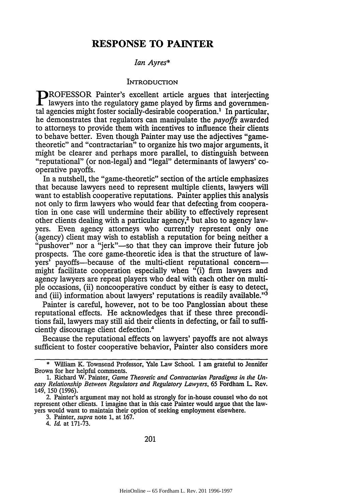# **RESPONSE TO PAINTER**

## *Ian Ayres\**

#### INTRODUCTION

**DROFESSOR Painter's excellent article argues that interjecting** lawyers into the regulatory game played by firms and governmental agencies might foster socially-desirable cooperation.' In particular, he demonstrates that regulators can manipulate the *payoffs* awarded to attorneys to provide them with incentives to influence their clients to behave better. Even though Painter may use the adjectives "gametheoretic" and "contractarian" to organize his two major arguments, it might be clearer and perhaps more parallel, to distinguish between "reputational" (or non-legal) and "legal" determinants of lawyers' cooperative payoffs.

In a nutshell, the "game-theoretic" section of the article emphasizes that because lawyers need to represent multiple clients, lawyers will want to establish cooperative reputations. Painter applies this analysis not only to firm lawyers who would fear that defecting from cooperation in one case will undermine their ability to effectively represent other clients dealing with a particular agency,2 but also to agency lawyers. Even agency attorneys who currently represent only one (agency) client may wish to establish a reputation for being neither a "pushover" nor a "jerk"—so that they can improve their future job prospects. The core game-theoretic idea is that the structure of lawyers' payoffs-because of the multi-client reputational concernmight facilitate cooperation especially when "(i) firm lawyers and agency lawyers are repeat players who deal with each other on multiple occasions, (ii) noncooperative conduct by either is easy to detect, and (iii) information about lawyers' reputations is readily available."'3

Painter is careful, however, not to be too Panglossian about these reputational effects. He acknowledges that if these three preconditions fail, lawyers may still aid their clients in defecting, or fail to sufficiently discourage client defection.4

Because the reputational effects on lawyers' payoffs are not always sufficient to foster cooperative behavior, Painter also considers more

<sup>\*</sup> William K. Townsend Professor, Yale Law School I am grateful to Jennifer Brown for her helpful comments.

<sup>1.</sup> Richard W. Painter, *Game Theoretic and Contractarian Paradigms in the Uneasy Relationship Between Regulators and Regulatory Lawyers,* 65 Fordham L. Rev. 149, 150 (1996).

<sup>2.</sup> Painter's argument may not hold as strongly for in-house counsel who do not represent other clients. I imagine that in this case Painter would argue that the lawyers would want to maintain their option of seeking employment elsewhere.

<sup>3.</sup> Painter, *supra* note 1, at 167.

<sup>4.</sup> *Id* at 171-73.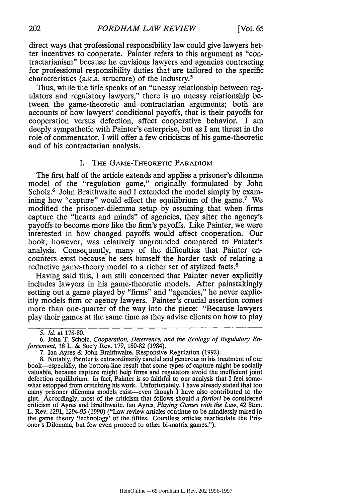direct ways that professional responsibility law could give lawyers better incentives to cooperate. Painter refers to this argument as "contractarianism" because he envisions lawyers and agencies contracting for professional responsibility duties that are tailored to the specific characteristics (a.k.a. structure) of the industry.5

Thus, while the title speaks of an "uneasy relationship between regulators and regulatory lawyers," there is no uneasy relationship between the game-theoretic and contractarian arguments; both are accounts of how lawyers' conditional payoffs, that is their payoffs for cooperation versus defection, affect cooperative behavior. I am deeply sympathetic with Painter's enterprise, but as I am thrust in the role of commentator, I will offer a few criticisms of his game-theoretic and of his contractarian analysis.

# I. **THE** GAME-THEORETIC PARADIGM

The first half of the article extends and applies a prisoner's dilemma model of the "regulation game," originally formulated by John Scholz.<sup>6</sup> John Braithwaite and I extended the model simply by examining how "capture" would effect the equilibrium of the game.<sup>7</sup> We modified the prisoner-dilemma setup by assuming that when firms capture the "hearts and minds" of agencies, they alter the agency's payoffs to become more like the firm's payoffs. Like Painter, we were interested in how changed payoffs would affect cooperation. Our book, however, was relatively ungrounded compared to Painter's analysis. Consequently, many of the difficulties that Painter encounters exist because he sets himself the harder task of relating a reductive game-theory model to a richer set of stylized facts.<sup>8</sup>

Having said this, I am still concerned that Painter never explicitly includes lawyers in his game-theoretic models. After painstakingly setting out a game played by "firms" and "agencies," he never explicitly models firm or agency lawyers. Painter's crucial assertion comes more than one-quarter of the way into the piece: "Because lawyers play their games at the same time as they advise clients on how to play

*<sup>5.</sup> Id.* at 178-80.

<sup>6.</sup> John T. Scholz, *Cooperation, Deterrence, and the Ecology of Regulatory Enforcement,* 18 L. & Soc'y Rev. 179, 180-82 (1984).

<sup>7.</sup> Ian Ayres & John Braithwaite, Responsive Regulation (1992).

<sup>8.</sup> Notably, Painter is extraordinarily careful and generous in his treatment of our book-especially, the bottom-line result that some types of capture might be socially valuable, because capture might help firms and regulators avoid the inefficient joint defection equilibrium. In fact, Painter is so faithful to our analysis that I feel somewhat estopped from criticizing his work. Unfortunately, I have already stated that too many prisoner dilemma models exist-even though I have also contributed to the glut. Accordingly, most of the criticism that follows should *a fortiori* be considered criticism of Ayres and Braithwaite. Ian Ayres, *Playing Games with the Law,* 42 Stan. L. Rev. 1291, 1294-95 (1990) ("Law review articles continue to be mindlessly mired in the game theory 'technology' of the fifties. Countless articles rearticulate the Prisoner's Dilemma, but few even proceed to other bi-matrix games.").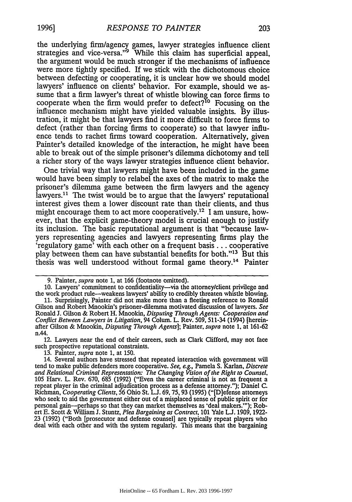the underlying firm/agency games, lawyer strategies influence client strategies and vice-versa."<sup>9</sup> While this claim has superficial appeal, the argument would be much stronger if the mechanisms of influence were more tightly specified. If we stick with the dichotomous choice between defecting or cooperating, it is unclear how we should model lawyers' influence on clients' behavior. For example, should we assume that a firm lawyer's threat of whistle blowing can force firms to cooperate when the firm would prefer to defect?<sup>10</sup> Focusing on the influence mechanism might have yielded valuable insights. By illustration, it might be that lawyers find it more difficult to force firms to defect (rather than forcing firms to cooperate) so that lawyer influence tends to rachet firms toward cooperation. Alternatively, given Painter's detailed knowledge of the interaction, he might have been able to break out of the simple prisoner's dilemma dichotomy and tell a richer story of the ways lawyer strategies influence client behavior.

One trivial way that lawyers might have been included in the game would have been simply to relabel the axes of the matrix to make the prisoner's dilemma game between the firm lawyers and the agency lawyers.<sup>11</sup> The twist would be to argue that the lawyers' reputational interest gives them a lower discount rate than their clients, and thus might encourage them to act more cooperatively.<sup>12</sup> I am unsure, however, that the explicit game-theory model is crucial enough to justify its inclusion. The basic reputational argument is that "because lawyers representing agencies and lawyers representing firms play the 'regulatory game' with each other on a frequent basis **...** cooperative play between them can have substantial benefits for both."<sup>13</sup> But this thesis was well understood without formal game theory.<sup>14</sup> Painter

Conflict Between Lawyers in Litigation, 94 Colum. L. Rev. 509, 511-34 (1994) [hereinafter Gilson & Mnookin, Disputing Through Agents]; Painter, supra note 1, at 161-62 n.44.

12. Lawyers near the end of their careers, such as Clark Clifford, may not face such prospective reputational constraints.

13. Painter, supra note 1, at 150.

<sup>9.</sup> Painter, supra note 1, at 166 (footnote omitted).

<sup>10.</sup> Lawyers' commitment to confidentiality-via the attorney/client privilege and the work product rule-weakens lawyers' ability to credibly threaten whistle blowing. **11.** Surprisingly, Painter did not make more than a fleeting reference to Ronald Gilson and Robert Mnookin's prisoner-dilemma motivated discussion of lawyers. See Ronald J. Gilson & Robert H. Mnookin, Disputing Through Agents: Cooperation and

<sup>14.</sup> Several authors have stressed that repeated interaction with government will tend to make public defenders more cooperative. See, e.g., Pamela S. Karlan, Discrete and Relational Criminal Representation: The Changing Vision of *the* Right to Counsel, 105 Harv. L. Rev. 670, 685 (1992) ("Even the career criminal is not as frequent a repeat player in the criminal adjudication process as a defense attorney."); Daniel C. Richman, Cooperating Clients, 56 Ohio St. **LJ.** 69, 75, 93 (1995) ("[D]efese attorneys who seek to aid the government either out of a misplaced sense of public spirit or for personal gain-perhaps so that they can market themselves as 'deal makers.'"); Robert E. Scott & William **J.** Stuntz, Plea Bargaining as Contract, 101 Yale **L.** 1909, 1922- 23 (1992) ("Both [prosecutor and defense counsel] are typically repeat players who deal with each other and with the system regularly. This means that the bargaining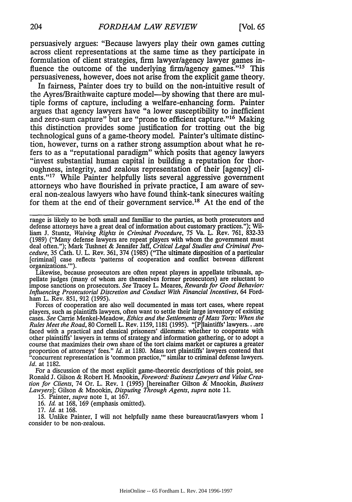persuasively argues: "Because lawyers play their own games cutting across client representations at the same time as they participate in formulation of client strategies, firm lawyer/agency lawyer games influence the outcome of the underlying firm/agency games."<sup>15</sup> This persuasiveness, however, does not arise from the explicit game theory.

In fairness, Painter does try to build on the non-intuitive result of the Ayres/Braithwaite capture model—by showing that there are multiple forms of capture, including a welfare-enhancing form. Painter argues that agency lawyers have "a lower susceptibility to inefficient and zero-sum capture" but are "prone to efficient capture."<sup>16</sup> Making this distinction provides some justification for trotting out the big technological guns of a game-theory model. Painter's ultimate distinction, however, turns on a rather strong assumption about what he refers to as a "reputational paradigm" which posits that agency lawyers "invest substantial human capital in building a reputation for thoroughness, integrity, and zealous representation of their [agency] clients."<sup>17</sup> While Painter helpfully lists several aggressive government attorneys who have flourished in private practice, I am aware of several non-zealous lawyers who have found think-tank sinecures waiting for them at the end of their government service.<sup>18</sup> At the end of the

range is likely to be both small and familiar to the parties, as both prosecutors and defense attorneys have a great deal of information about customary practices."); Wil-1am J. Stuntz, *Waiving Rights in Criminal Procedure,* 75 Va. L. Rev. 761, 832-33 (1989) ("Many defense lawyers are repeat players with whom the government must deal often."); Mark Tushnet & Jennifer Jaff, *Critical Legal Studies and Criminal Procedure,* 35 Cath. U. L. Rev. 361, 374 (1985) ("The ultimate disposition of a particular [criminal) case reflects 'patterns of cooperation and conflict between different organizations."').

Likewise, because prosecutors are often repeat players in appellate tribunals, appellate judges (many of whom are themselves former prosecutors) are reluctant to impose sanctions on prosecutors. *See* Tracey L. Meares, *Rewards for Good Behavior: Influencing Prosecutorial Discretion and Conduct With Financial Incentives,* 64 Fordham L. Rev. 851, 912 (1995).

Forces of cooperation are also well documented in mass tort cases, where repeat players, such as plaintiffs lawyers, often want to settle their large inventory of existing cases. *See* Carrie Menkel-Meadow, *Ethics and the Settlements of Mass Torts: When the Rules Meet the Road,* 80 Cornell L. Rev. 1159, 1181 (1995). "[Pjlaintiffs' lawyers.. .are faced with a practical and classical prisoners' dilemma: whether to cooperate with other plaintiffs' lawyers in terms of strategy and information gathering, or to adopt a course that maximizes their own share of the tort claims market or captures a greater proportion of attorneys' fees." *Id.* at 1180. Mass tort plaintiffs' lawyers contend that "concurrent representation is 'common practice,"' similar to criminal defense lawyers. *Id.* at 1182.

For a discussion of the most explicit game-theoretic descriptions of this point, see Ronald J. Gilson & Robert H. Mnookin, *Foreword: Business Lawyers and Value Creation for Clients,* 74 Or. L. Rev. 1 (1995) [hereinafter Gilson & Mnookin, *Business Lawyers];* Gilson & Mnookin, *Disputing Through Agents, supra* note 11.

15. Painter, *supra* note 1, at 167.

16. *Id.* at 168, 169 (emphasis omitted).

17. *Id.* at 168.

18. Unlike Painter, I will not helpfully name these bureaucrat/lawyers whom I consider to be non-zealous.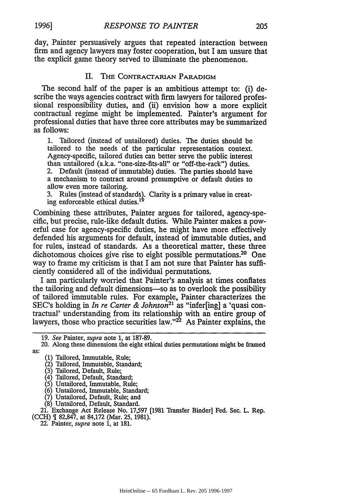day, Painter persuasively argues that repeated interaction between firm and agency lawyers may foster cooperation, but I am unsure that the explicit game theory served to illuminate the phenomenon.

# II. The Contractarian Paradigm

The second half of the paper is an ambitious attempt to: (i) describe the ways agencies contract with firm lawyers for tailored professional responsibility duties, and (ii) envision how a more explicit contractual regime might be implemented. Painter's argument for professional duties that have three core attributes may be summarized as follows:

1. Tailored (instead of untailored) duties. The duties should be tailored to the needs of the particular representation context. Agency-specific, tailored duties can better serve the public interest than untailored (a.k.a. "one-size-fits-all" or "off-the-rack") duties.

2. Default (instead of immutable) duties. The parties should have a mechanism to contract around presumptive or default duties to allow even more tailoring.<br>3. Rules (instead of standards). Clarity is a primary value in creat-

ing enforceable ethical duties.<sup>19</sup>

Combining these attributes, Painter argues for tailored, agency-specific, but precise, rule-like default duties. While Painter makes a powerful case for agency-specific duties, he might have more effectively defended his arguments for default, instead of immutable duties, and for rules, instead of standards. As a theoretical matter, these three dichotomous choices give rise to eight possible permutations.<sup>20</sup> One way to frame my criticism is that I am not sure that Painter has sufficiently considered all of the individual permutations.

I am particularly worried that Painter's analysis at times conflates the tailoring and default dimensions-so as to overlook the possibility of tailored immutable rules. For example, Painter characterizes the SEC's holding in *In re Carter & Johnson*<sup>21</sup> as "infer[ing] a 'quasi contractual' understanding from its relationship with an entire group of lawyers, those who practice securities law." $2^2$  As Painter explains, the

- (2) Tailored, Immutable, Standard;
- (3) Tailored, Default, Rule;
- (4) Tailored, Default, Standard;
- (5) Untailored, Immutable, Rule;
- (6) Untailored, Immutable, Standard;
- (7) Untailored, Default, Rule; and
- (8) Untailored, Default, Standard.

21. Exchange Act Release No. 17,597 [1981 Transfer Binder] Fed. Sec. L Rep. (CCH) 82,847, at 84,172 (Mar. 25, 1981).

22. Painter, *supra* note **1,** at **181.**

**1996]**

<sup>19.</sup> *See* Painter, *supra* note **1,** at 187-89.

<sup>20.</sup> Along these dimensions the eight ethical duties permutations might be framed as:

<sup>(1)</sup> Tailored, Immutable, Rule;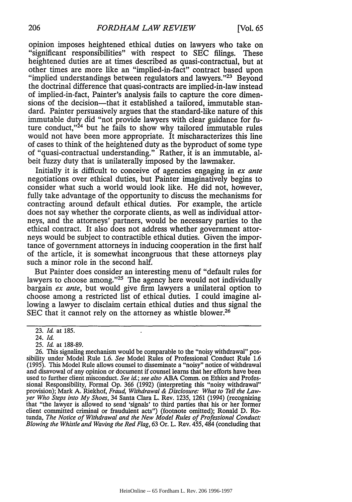opinion imposes heightened ethical duties on lawyers who take on "significant responsibilities" with respect to SEC filings. These heightened duties are at times described as quasi-contractual, but at other times are more like an "implied-in-fact" contract based upon "implied understandings between regulators and lawyers."<sup>23</sup> Beyond the doctrinal difference that quasi-contracts are implied-in-law instead of implied-in-fact, Painter's analysis fails to capture the core dimensions of the decision—that it established a tailored, immutable standard. Painter persuasively argues that the standard-like nature of this immutable duty did "not provide lawyers with clear guidance for future conduct, $^{24}$  but he fails to show why tailored immutable rules would not have been more appropriate. It mischaracterizes this line of cases to think of the heightened duty as the byproduct of some type of "quasi-contractual understanding." Rather, it is an immutable, albeit fuzzy duty that is unilaterally imposed by the lawmaker.

Initially it is difficult to conceive of agencies engaging in *ex ante* negotiations over ethical duties, but Painter imaginatively begins to consider what such a world would look like. He did not, however, fully take advantage of the opportunity to discuss the mechanisms for contracting around default ethical duties. For example, the article does not say whether the corporate clients, as well as individual attorneys, and the attorneys' partners, would be necessary parties to the ethical contract. It also does not address whether government attorneys would be subject to contractible ethical duties. Given the importance of government attorneys in inducing cooperation in the first half of the article, it is somewhat incongruous that these attorneys play such a minor role in the second half.

But Painter does consider an interesting menu of "default rules for lawyers to choose among."<sup>25</sup> The agency here would not individually bargain *ex ante,* but would give firm lawyers a unilateral option to choose among a restricted list of ethical duties. I could imagine allowing a lawyer to disclaim certain ethical duties and thus signal the SEC that it cannot rely on the attorney as whistle blower.<sup>26</sup>

<sup>23.</sup> *Id* at 185.

<sup>24.</sup> *Id*

<sup>25.</sup> *Id* at 188-89.

<sup>26.</sup> This signaling mechanism would be comparable to the "noisy withdrawal" possibility under Model Rule *1.6. See* Model Rules of Professional Conduct Rule 1.6 (1995). This Model Rule allows counsel to disseminate a "noisy" notice of withdrawal and disavowal of any opinion or document if counsel learns that her efforts have been used to further client misconduct. *See id.; see also* ABA Comm. on Ethics and Professional Responsibility, Formal Op. 366 (1992) (interpreting this "noisy withdrawal" provision); Mark A. Riekhof, *Fraud, Withdrawal & Disclosure: What to Tell the Lawyer Who Steps into My Shoes,* 34 Santa Clara L. Rev. 1235, 1261 (1994) (recognizing that "the lawyer is allowed to send 'signals' to third parties that his or her former client committed criminal or fraudulent acts") (footnote omitted); Ronald D. Rotunda, *The Notice of Withdrawal and the New Model Rules of Professional Conduct: Blowing the Whistle and Waving the Red Flag,* 63 Or. L. Rev. 455, 484 (concluding that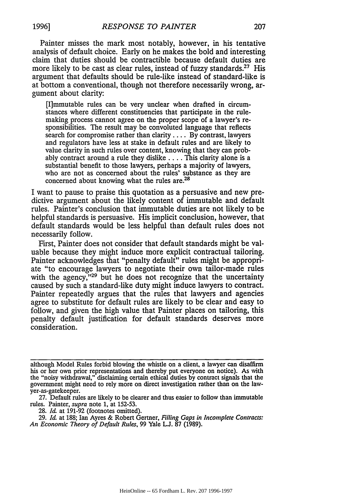Painter misses the mark most notably, however, in his tentative analysis of default choice. Early on he makes the bold and interesting claim that duties should be contractible because default duties are more likely to be cast as clear rules, instead of fuzzy standards.<sup>27</sup> His argument that defaults should be rule-like instead of standard-like is at bottom a conventional, though not therefore necessarily wrong, argument about clarity:

[I]mmutable rules can be very unclear when drafted in circumstances where different constituencies that participate in the rulemaking process cannot agree on the proper scope of a lawyer's responsibilities. The result may be convoluted language that reflects search for compromise rather than clarity .... By contrast, lawyers and regulators have less at stake in default rules and are likely to value clarity in such rules over content, knowing that they can probably contract around a rule they dislike .... This clarity alone is a substantial benefit to those lawyers, perhaps a majority of lawyers, who are not as concerned about the rules' substance as they are concerned about knowing what the rules are.<sup>28</sup>

I want to pause to praise this quotation as a persuasive and new predictive argument about the likely content of immutable and default rules. Painter's conclusion that immutable duties are not likely to be helpful standards is persuasive. His implicit conclusion, however, that default standards would be less helpful than default rules does not necessarily follow.

First, Painter does not consider that default standards might be valuable because they might induce more explicit contractual tailoring. Painter acknowledges that "penalty default" rules might be appropriate "to encourage lawyers to negotiate their own tailor-made rules with the agency,"<sup>29</sup> but he does not recognize that the uncertainty caused by such a standard-like duty might induce lawyers to contract. Painter repeatedly argues that the rules that lawyers and agencies agree to substitute for default rules are likely to be clear and easy to follow, and given the high value that Painter places on tailoring, this penalty default justification for default standards deserves more consideration.

although Model Rules forbid blowing the whistle on a client, a lawyer can disaffirm his or her own prior representations and thereby put everyone on notice). As with the "noisy withdrawal," disclaiming certain ethical duties by contract signals that the government might need to rely more on direct investigation rather than on the lawyer-as-gatekeeper.

<sup>27.</sup> Default rules are likely to be clearer and thus easier to follow than immutable rules. Painter, *supra* note 1, at 152-53.

<sup>28.</sup> Id. at 191-92 (footnotes omitted).

<sup>29.</sup> **Id.** at 188; Ian Ayres & Robert Gertner, *Filling Gaps in Incomplete Contracts:* An Economic Theory of Default Rules, 99 Yale L.J. 87 (1989).